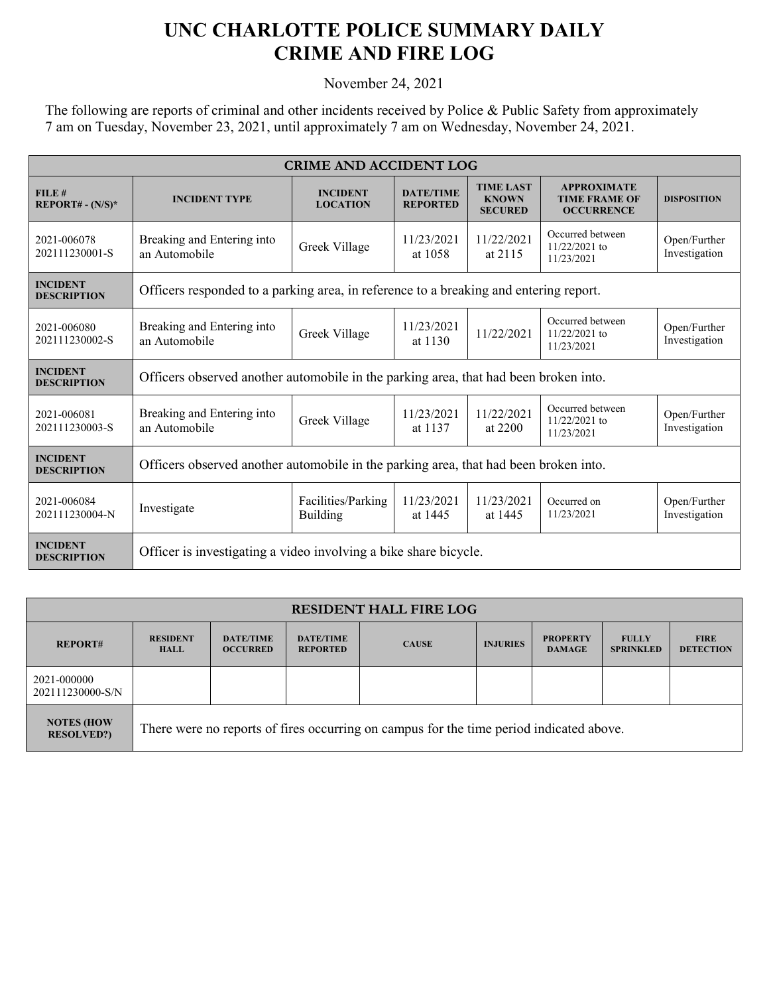## **UNC CHARLOTTE POLICE SUMMARY DAILY CRIME AND FIRE LOG**

November 24, 2021

The following are reports of criminal and other incidents received by Police & Public Safety from approximately 7 am on Tuesday, November 23, 2021, until approximately 7 am on Wednesday, November 24, 2021.

| <b>CRIME AND ACCIDENT LOG</b>         |                                                                                       |                                       |                                     |                                                    |                                                                 |                               |  |  |
|---------------------------------------|---------------------------------------------------------------------------------------|---------------------------------------|-------------------------------------|----------------------------------------------------|-----------------------------------------------------------------|-------------------------------|--|--|
| FILE#<br>$REPORT# - (N/S)*$           | <b>INCIDENT TYPE</b>                                                                  | <b>INCIDENT</b><br><b>LOCATION</b>    | <b>DATE/TIME</b><br><b>REPORTED</b> | <b>TIME LAST</b><br><b>KNOWN</b><br><b>SECURED</b> | <b>APPROXIMATE</b><br><b>TIME FRAME OF</b><br><b>OCCURRENCE</b> | <b>DISPOSITION</b>            |  |  |
| 2021-006078<br>202111230001-S         | Breaking and Entering into<br>an Automobile                                           | Greek Village                         | 11/23/2021<br>at 1058               | 11/22/2021<br>at 2115                              | Occurred between<br>$11/22/2021$ to<br>11/23/2021               | Open/Further<br>Investigation |  |  |
| <b>INCIDENT</b><br><b>DESCRIPTION</b> | Officers responded to a parking area, in reference to a breaking and entering report. |                                       |                                     |                                                    |                                                                 |                               |  |  |
| 2021-006080<br>202111230002-S         | Breaking and Entering into<br>an Automobile                                           | Greek Village                         | 11/23/2021<br>at 1130               | 11/22/2021                                         | Occurred between<br>11/22/2021 to<br>11/23/2021                 | Open/Further<br>Investigation |  |  |
| <b>INCIDENT</b><br><b>DESCRIPTION</b> | Officers observed another automobile in the parking area, that had been broken into.  |                                       |                                     |                                                    |                                                                 |                               |  |  |
| 2021-006081<br>202111230003-S         | Breaking and Entering into<br>an Automobile                                           | Greek Village                         | 11/23/2021<br>at 1137               | 11/22/2021<br>at 2200                              | Occurred between<br>11/22/2021 to<br>11/23/2021                 | Open/Further<br>Investigation |  |  |
| <b>INCIDENT</b><br><b>DESCRIPTION</b> | Officers observed another automobile in the parking area, that had been broken into.  |                                       |                                     |                                                    |                                                                 |                               |  |  |
| 2021-006084<br>202111230004-N         | Investigate                                                                           | Facilities/Parking<br><b>Building</b> | 11/23/2021<br>at 1445               | 11/23/2021<br>at 1445                              | Occurred on<br>11/23/2021                                       | Open/Further<br>Investigation |  |  |
| <b>INCIDENT</b><br><b>DESCRIPTION</b> | Officer is investigating a video involving a bike share bicycle.                      |                                       |                                     |                                                    |                                                                 |                               |  |  |

| <b>RESIDENT HALL FIRE LOG</b>           |                                                                                         |                                     |                                     |              |                 |                                  |                                  |                                 |
|-----------------------------------------|-----------------------------------------------------------------------------------------|-------------------------------------|-------------------------------------|--------------|-----------------|----------------------------------|----------------------------------|---------------------------------|
| <b>REPORT#</b>                          | <b>RESIDENT</b><br><b>HALL</b>                                                          | <b>DATE/TIME</b><br><b>OCCURRED</b> | <b>DATE/TIME</b><br><b>REPORTED</b> | <b>CAUSE</b> | <b>INJURIES</b> | <b>PROPERTY</b><br><b>DAMAGE</b> | <b>FULLY</b><br><b>SPRINKLED</b> | <b>FIRE</b><br><b>DETECTION</b> |
| 2021-000000<br>202111230000-S/N         |                                                                                         |                                     |                                     |              |                 |                                  |                                  |                                 |
| <b>NOTES (HOW)</b><br><b>RESOLVED?)</b> | There were no reports of fires occurring on campus for the time period indicated above. |                                     |                                     |              |                 |                                  |                                  |                                 |